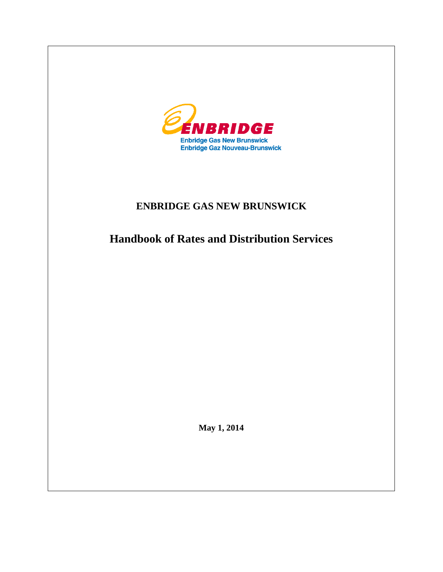

# **ENBRIDGE GAS NEW BRUNSWICK**

**Handbook of Rates and Distribution Services**

**May 1, 2014**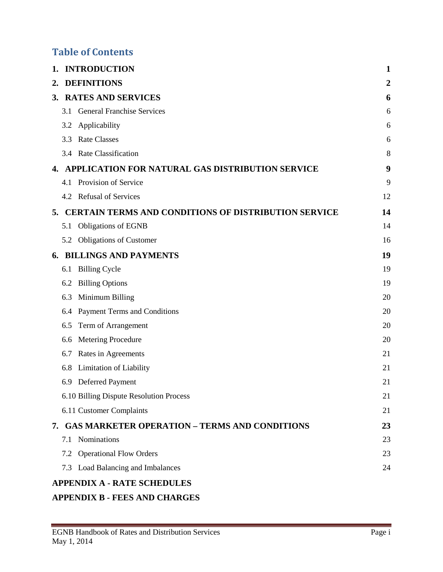# **Table of Contents**

| 1. |     | <b>INTRODUCTION</b>                                         | 1  |
|----|-----|-------------------------------------------------------------|----|
| 2. |     | <b>DEFINITIONS</b>                                          | 2  |
|    |     | 3. RATES AND SERVICES                                       | 6  |
|    | 3.1 | <b>General Franchise Services</b>                           | 6  |
|    | 3.2 | Applicability                                               | 6  |
|    | 3.3 | <b>Rate Classes</b>                                         | 6  |
|    |     | 3.4 Rate Classification                                     | 8  |
| 4. |     | APPLICATION FOR NATURAL GAS DISTRIBUTION SERVICE            | 9  |
|    |     | 4.1 Provision of Service                                    | 9  |
|    |     | 4.2 Refusal of Services                                     | 12 |
| 5. |     | <b>CERTAIN TERMS AND CONDITIONS OF DISTRIBUTION SERVICE</b> | 14 |
|    | 5.1 | <b>Obligations of EGNB</b>                                  | 14 |
|    |     | 5.2 Obligations of Customer                                 | 16 |
| 6. |     | <b>BILLINGS AND PAYMENTS</b>                                | 19 |
|    | 6.1 | <b>Billing Cycle</b>                                        | 19 |
|    | 6.2 | <b>Billing Options</b>                                      | 19 |
|    | 6.3 | Minimum Billing                                             | 20 |
|    | 6.4 | Payment Terms and Conditions                                | 20 |
|    | 6.5 | Term of Arrangement                                         | 20 |
|    | 6.6 | Metering Procedure                                          | 20 |
|    | 6.7 | Rates in Agreements                                         | 21 |
|    | 6.8 | Limitation of Liability                                     | 21 |
|    | 6.9 | Deferred Payment                                            | 21 |
|    |     | 6.10 Billing Dispute Resolution Process                     | 21 |
|    |     | 6.11 Customer Complaints                                    | 21 |
|    |     | 7. GAS MARKETER OPERATION - TERMS AND CONDITIONS            | 23 |
|    |     | 7.1 Nominations                                             | 23 |
|    |     | 7.2 Operational Flow Orders                                 | 23 |
|    |     | 7.3 Load Balancing and Imbalances                           | 24 |
|    |     | <b>APPENDIX A - RATE SCHEDULES</b>                          |    |

# **APPENDIX B - [FEES AND CHARGES](#page-39-0)**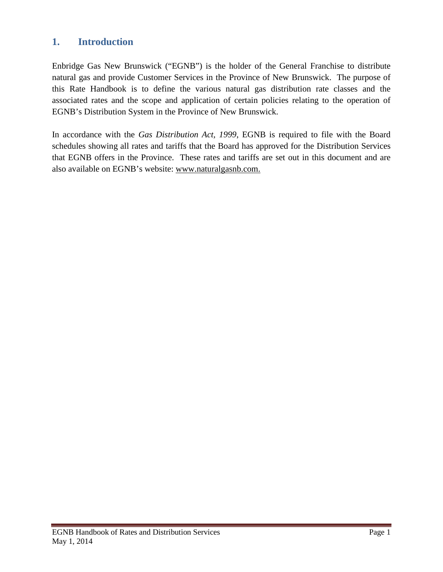# <span id="page-2-0"></span>**1. Introduction**

Enbridge Gas New Brunswick ("EGNB") is the holder of the General Franchise to distribute natural gas and provide Customer Services in the Province of New Brunswick. The purpose of this Rate Handbook is to define the various natural gas distribution rate classes and the associated rates and the scope and application of certain policies relating to the operation of EGNB's Distribution System in the Province of New Brunswick.

In accordance with the *Gas Distribution Act, 1999*, EGNB is required to file with the Board schedules showing all rates and tariffs that the Board has approved for the Distribution Services that EGNB offers in the Province. These rates and tariffs are set out in this document and are also available on EGNB's website: www.naturalgasnb.com.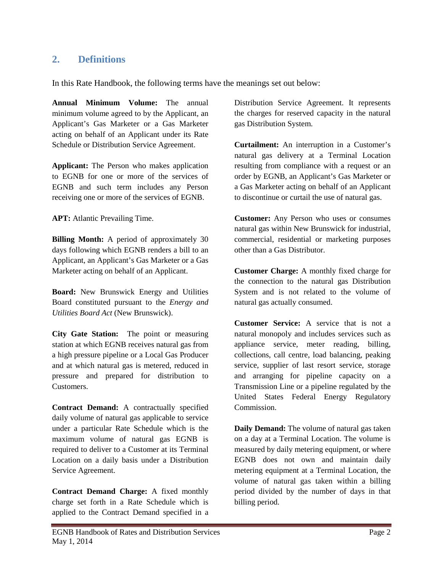# <span id="page-3-0"></span>**2. Definitions**

In this Rate Handbook, the following terms have the meanings set out below:

**Annual Minimum Volume:** The annual minimum volume agreed to by the Applicant, an Applicant's Gas Marketer or a Gas Marketer acting on behalf of an Applicant under its Rate Schedule or Distribution Service Agreement.

**Applicant:** The Person who makes application to EGNB for one or more of the services of EGNB and such term includes any Person receiving one or more of the services of EGNB.

**APT:** Atlantic Prevailing Time.

**Billing Month:** A period of approximately 30 days following which EGNB renders a bill to an Applicant, an Applicant's Gas Marketer or a Gas Marketer acting on behalf of an Applicant.

**Board:** New Brunswick Energy and Utilities Board constituted pursuant to the *Energy and Utilities Board Act* (New Brunswick).

**City Gate Station:** The point or measuring station at which EGNB receives natural gas from a high pressure pipeline or a Local Gas Producer and at which natural gas is metered, reduced in pressure and prepared for distribution to Customers.

**Contract Demand:** A contractually specified daily volume of natural gas applicable to service under a particular Rate Schedule which is the maximum volume of natural gas EGNB is required to deliver to a Customer at its Terminal Location on a daily basis under a Distribution Service Agreement.

**Contract Demand Charge:** A fixed monthly charge set forth in a Rate Schedule which is applied to the Contract Demand specified in a Distribution Service Agreement. It represents the charges for reserved capacity in the natural gas Distribution System.

**Curtailment:** An interruption in a Customer's natural gas delivery at a Terminal Location resulting from compliance with a request or an order by EGNB, an Applicant's Gas Marketer or a Gas Marketer acting on behalf of an Applicant to discontinue or curtail the use of natural gas.

**Customer:** Any Person who uses or consumes natural gas within New Brunswick for industrial, commercial, residential or marketing purposes other than a Gas Distributor.

**Customer Charge:** A monthly fixed charge for the connection to the natural gas Distribution System and is not related to the volume of natural gas actually consumed.

**Customer Service:** A service that is not a natural monopoly and includes services such as appliance service, meter reading, billing, collections, call centre, load balancing, peaking service, supplier of last resort service, storage and arranging for pipeline capacity on a Transmission Line or a pipeline regulated by the United States Federal Energy Regulatory Commission.

**Daily Demand:** The volume of natural gas taken on a day at a Terminal Location. The volume is measured by daily metering equipment, or where EGNB does not own and maintain daily metering equipment at a Terminal Location, the volume of natural gas taken within a billing period divided by the number of days in that billing period.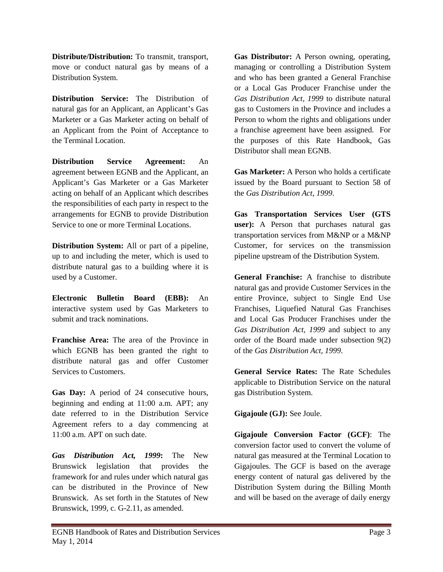**Distribute/Distribution:** To transmit, transport, move or conduct natural gas by means of a Distribution System.

**Distribution Service:** The Distribution of natural gas for an Applicant, an Applicant's Gas Marketer or a Gas Marketer acting on behalf of an Applicant from the Point of Acceptance to the Terminal Location.

**Distribution Service Agreement:** An agreement between EGNB and the Applicant, an Applicant's Gas Marketer or a Gas Marketer acting on behalf of an Applicant which describes the responsibilities of each party in respect to the arrangements for EGNB to provide Distribution Service to one or more Terminal Locations.

**Distribution System:** All or part of a pipeline, up to and including the meter, which is used to distribute natural gas to a building where it is used by a Customer.

**Electronic Bulletin Board (EBB):** An interactive system used by Gas Marketers to submit and track nominations.

**Franchise Area:** The area of the Province in which EGNB has been granted the right to distribute natural gas and offer Customer Services to Customers.

**Gas Day:** A period of 24 consecutive hours, beginning and ending at 11:00 a.m. APT; any date referred to in the Distribution Service Agreement refers to a day commencing at 11:00 a.m. APT on such date.

*Gas Distribution Act, 1999***:** The New Brunswick legislation that provides the framework for and rules under which natural gas can be distributed in the Province of New Brunswick. As set forth in the Statutes of New Brunswick, 1999, c. G-2.11, as amended.

**Gas Distributor:** A Person owning, operating, managing or controlling a Distribution System and who has been granted a General Franchise or a Local Gas Producer Franchise under the *Gas Distribution Act, 1999* to distribute natural gas to Customers in the Province and includes a Person to whom the rights and obligations under a franchise agreement have been assigned. For the purposes of this Rate Handbook, Gas Distributor shall mean EGNB.

**Gas Marketer:** A Person who holds a certificate issued by the Board pursuant to Section 58 of the *Gas Distribution Act, 1999*.

**Gas Transportation Services User (GTS user):** A Person that purchases natural gas transportation services from M&NP or a M&NP Customer, for services on the transmission pipeline upstream of the Distribution System.

**General Franchise:** A franchise to distribute natural gas and provide Customer Services in the entire Province, subject to Single End Use Franchises, Liquefied Natural Gas Franchises and Local Gas Producer Franchises under the *Gas Distribution Act, 1999* and subject to any order of the Board made under subsection 9(2) of the *Gas Distribution Act, 1999*.

**General Service Rates:** The Rate Schedules applicable to Distribution Service on the natural gas Distribution System.

**Gigajoule (GJ):** See Joule.

**Gigajoule Conversion Factor (GCF)**: The conversion factor used to convert the volume of natural gas measured at the Terminal Location to Gigajoules. The GCF is based on the average energy content of natural gas delivered by the Distribution System during the Billing Month and will be based on the average of daily energy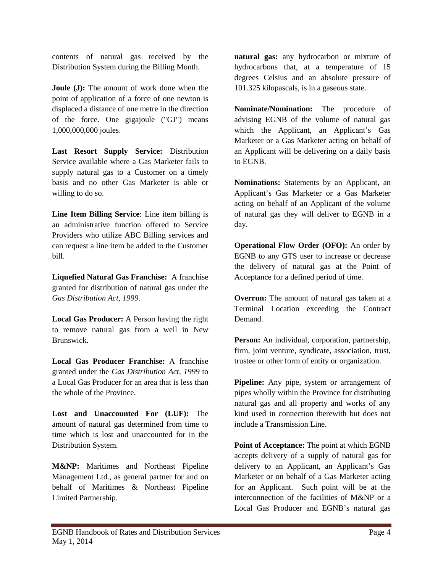contents of natural gas received by the Distribution System during the Billing Month.

**Joule (J):** The amount of work done when the point of application of a force of one newton is displaced a distance of one metre in the direction of the force. One gigajoule ("GJ") means 1,000,000,000 joules.

**Last Resort Supply Service:** Distribution Service available where a Gas Marketer fails to supply natural gas to a Customer on a timely basis and no other Gas Marketer is able or willing to do so.

**Line Item Billing Service**: Line item billing is an administrative function offered to Service Providers who utilize ABC Billing services and can request a line item be added to the Customer bill.

**Liquefied Natural Gas Franchise:** A franchise granted for distribution of natural gas under the *Gas Distribution Act, 1999*.

**Local Gas Producer:** A Person having the right to remove natural gas from a well in New Brunswick.

**Local Gas Producer Franchise:** A franchise granted under the *Gas Distribution Act, 1999* to a Local Gas Producer for an area that is less than the whole of the Province.

**Lost and Unaccounted For (LUF):** The amount of natural gas determined from time to time which is lost and unaccounted for in the Distribution System.

**M&NP:** Maritimes and Northeast Pipeline Management Ltd., as general partner for and on behalf of Maritimes & Northeast Pipeline Limited Partnership.

**natural gas:** any hydrocarbon or mixture of hydrocarbons that, at a temperature of 15 degrees Celsius and an absolute pressure of 101.325 kilopascals, is in a gaseous state.

**Nominate/Nomination:** The procedure of advising EGNB of the volume of natural gas which the Applicant, an Applicant's Gas Marketer or a Gas Marketer acting on behalf of an Applicant will be delivering on a daily basis to EGNB.

**Nominations:** Statements by an Applicant, an Applicant's Gas Marketer or a Gas Marketer acting on behalf of an Applicant of the volume of natural gas they will deliver to EGNB in a day.

**Operational Flow Order (OFO):** An order by EGNB to any GTS user to increase or decrease the delivery of natural gas at the Point of Acceptance for a defined period of time.

**Overrun:** The amount of natural gas taken at a Terminal Location exceeding the Contract Demand.

**Person:** An individual, corporation, partnership, firm, joint venture, syndicate, association, trust, trustee or other form of entity or organization.

**Pipeline:** Any pipe, system or arrangement of pipes wholly within the Province for distributing natural gas and all property and works of any kind used in connection therewith but does not include a Transmission Line.

**Point of Acceptance:** The point at which EGNB accepts delivery of a supply of natural gas for delivery to an Applicant, an Applicant's Gas Marketer or on behalf of a Gas Marketer acting for an Applicant. Such point will be at the interconnection of the facilities of M&NP or a Local Gas Producer and EGNB's natural gas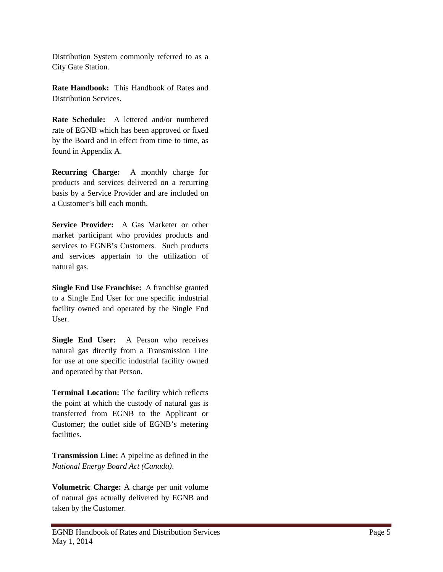Distribution System commonly referred to as a City Gate Station.

**Rate Handbook:** This Handbook of Rates and Distribution Services.

**Rate Schedule:** A lettered and/or numbered rate of EGNB which has been approved or fixed by the Board and in effect from time to time, as found in Appendix A.

**Recurring Charge:** A monthly charge for products and services delivered on a recurring basis by a Service Provider and are included on a Customer's bill each month.

**Service Provider:** A Gas Marketer or other market participant who provides products and services to EGNB's Customers. Such products and services appertain to the utilization of natural gas.

**Single End Use Franchise:** A franchise granted to a Single End User for one specific industrial facility owned and operated by the Single End User.

**Single End User:** A Person who receives natural gas directly from a Transmission Line for use at one specific industrial facility owned and operated by that Person.

**Terminal Location:** The facility which reflects the point at which the custody of natural gas is transferred from EGNB to the Applicant or Customer; the outlet side of EGNB's metering facilities.

**Transmission Line:** A pipeline as defined in the *National Energy Board Act (Canada)*.

**Volumetric Charge:** A charge per unit volume of natural gas actually delivered by EGNB and taken by the Customer.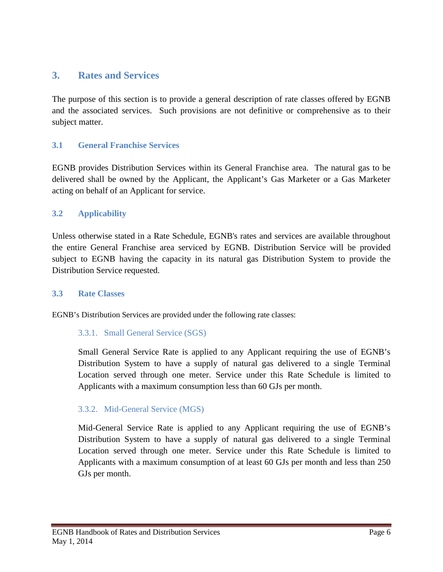# <span id="page-7-0"></span>**3. Rates and Services**

The purpose of this section is to provide a general description of rate classes offered by EGNB and the associated services. Such provisions are not definitive or comprehensive as to their subject matter.

# <span id="page-7-1"></span>**3.1 General Franchise Services**

EGNB provides Distribution Services within its General Franchise area. The natural gas to be delivered shall be owned by the Applicant, the Applicant's Gas Marketer or a Gas Marketer acting on behalf of an Applicant for service.

### <span id="page-7-2"></span>**3.2 Applicability**

Unless otherwise stated in a Rate Schedule, EGNB's rates and services are available throughout the entire General Franchise area serviced by EGNB. Distribution Service will be provided subject to EGNB having the capacity in its natural gas Distribution System to provide the Distribution Service requested.

### <span id="page-7-3"></span>**3.3 Rate Classes**

EGNB's Distribution Services are provided under the following rate classes:

### 3.3.1. Small General Service (SGS)

Small General Service Rate is applied to any Applicant requiring the use of EGNB's Distribution System to have a supply of natural gas delivered to a single Terminal Location served through one meter. Service under this Rate Schedule is limited to Applicants with a maximum consumption less than 60 GJs per month.

### 3.3.2. Mid-General Service (MGS)

Mid-General Service Rate is applied to any Applicant requiring the use of EGNB's Distribution System to have a supply of natural gas delivered to a single Terminal Location served through one meter. Service under this Rate Schedule is limited to Applicants with a maximum consumption of at least 60 GJs per month and less than 250 GJs per month.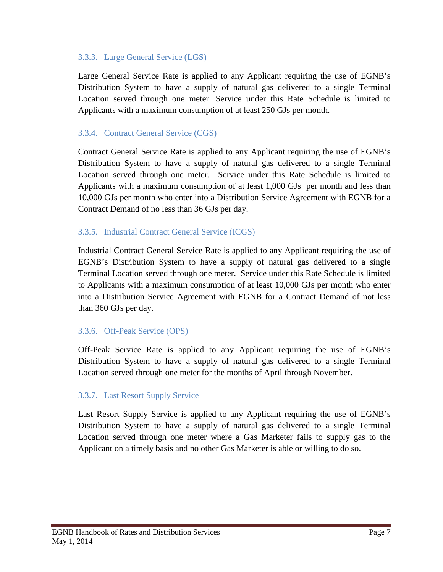### 3.3.3. Large General Service (LGS)

Large General Service Rate is applied to any Applicant requiring the use of EGNB's Distribution System to have a supply of natural gas delivered to a single Terminal Location served through one meter. Service under this Rate Schedule is limited to Applicants with a maximum consumption of at least 250 GJs per month.

# 3.3.4. Contract General Service (CGS)

Contract General Service Rate is applied to any Applicant requiring the use of EGNB's Distribution System to have a supply of natural gas delivered to a single Terminal Location served through one meter. Service under this Rate Schedule is limited to Applicants with a maximum consumption of at least 1,000 GJs per month and less than 10,000 GJs per month who enter into a Distribution Service Agreement with EGNB for a Contract Demand of no less than 36 GJs per day.

### 3.3.5. Industrial Contract General Service (ICGS)

Industrial Contract General Service Rate is applied to any Applicant requiring the use of EGNB's Distribution System to have a supply of natural gas delivered to a single Terminal Location served through one meter. Service under this Rate Schedule is limited to Applicants with a maximum consumption of at least 10,000 GJs per month who enter into a Distribution Service Agreement with EGNB for a Contract Demand of not less than 360 GJs per day.

### 3.3.6. Off-Peak Service (OPS)

Off-Peak Service Rate is applied to any Applicant requiring the use of EGNB's Distribution System to have a supply of natural gas delivered to a single Terminal Location served through one meter for the months of April through November.

# 3.3.7. Last Resort Supply Service

Last Resort Supply Service is applied to any Applicant requiring the use of EGNB's Distribution System to have a supply of natural gas delivered to a single Terminal Location served through one meter where a Gas Marketer fails to supply gas to the Applicant on a timely basis and no other Gas Marketer is able or willing to do so.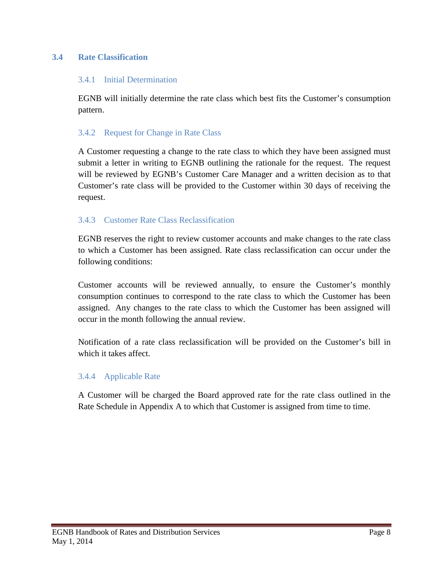# <span id="page-9-0"></span>**3.4 Rate Classification**

### 3.4.1 Initial Determination

EGNB will initially determine the rate class which best fits the Customer's consumption pattern.

### 3.4.2 Request for Change in Rate Class

A Customer requesting a change to the rate class to which they have been assigned must submit a letter in writing to EGNB outlining the rationale for the request. The request will be reviewed by EGNB's Customer Care Manager and a written decision as to that Customer's rate class will be provided to the Customer within 30 days of receiving the request.

### 3.4.3 Customer Rate Class Reclassification

EGNB reserves the right to review customer accounts and make changes to the rate class to which a Customer has been assigned. Rate class reclassification can occur under the following conditions:

Customer accounts will be reviewed annually, to ensure the Customer's monthly consumption continues to correspond to the rate class to which the Customer has been assigned. Any changes to the rate class to which the Customer has been assigned will occur in the month following the annual review.

Notification of a rate class reclassification will be provided on the Customer's bill in which it takes affect.

### 3.4.4 Applicable Rate

A Customer will be charged the Board approved rate for the rate class outlined in the Rate Schedule in Appendix A to which that Customer is assigned from time to time.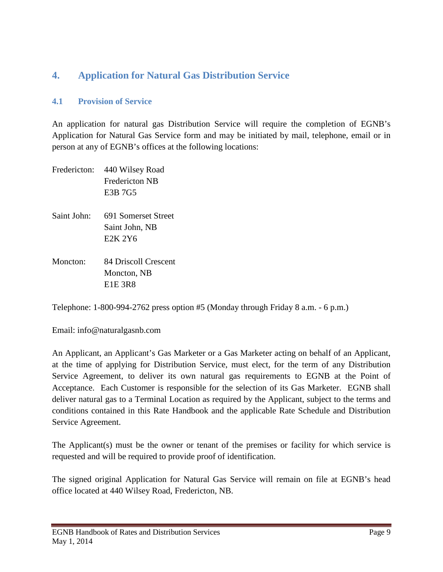# <span id="page-10-0"></span>**4. Application for Natural Gas Distribution Service**

### <span id="page-10-1"></span>**4.1 Provision of Service**

An application for natural gas Distribution Service will require the completion of EGNB's Application for Natural Gas Service form and may be initiated by mail, telephone, email or in person at any of EGNB's offices at the following locations:

| Fredericton: | 440 Wilsey Road<br><b>Fredericton NB</b><br>E3B 7G5                       |
|--------------|---------------------------------------------------------------------------|
| Saint John:  | 691 Somerset Street<br>Saint John, NB<br>E <sub>2</sub> K 2Y <sub>6</sub> |
| Moncton:     | 84 Driscoll Crescent<br>Moncton, NB<br><b>E1E 3R8</b>                     |

Telephone: 1-800-994-2762 press option #5 (Monday through Friday 8 a.m. - 6 p.m.)

Email: info@naturalgasnb.com

An Applicant, an Applicant's Gas Marketer or a Gas Marketer acting on behalf of an Applicant, at the time of applying for Distribution Service, must elect, for the term of any Distribution Service Agreement, to deliver its own natural gas requirements to EGNB at the Point of Acceptance. Each Customer is responsible for the selection of its Gas Marketer. EGNB shall deliver natural gas to a Terminal Location as required by the Applicant, subject to the terms and conditions contained in this Rate Handbook and the applicable Rate Schedule and Distribution Service Agreement.

The Applicant(s) must be the owner or tenant of the premises or facility for which service is requested and will be required to provide proof of identification.

The signed original Application for Natural Gas Service will remain on file at EGNB's head office located at 440 Wilsey Road, Fredericton, NB.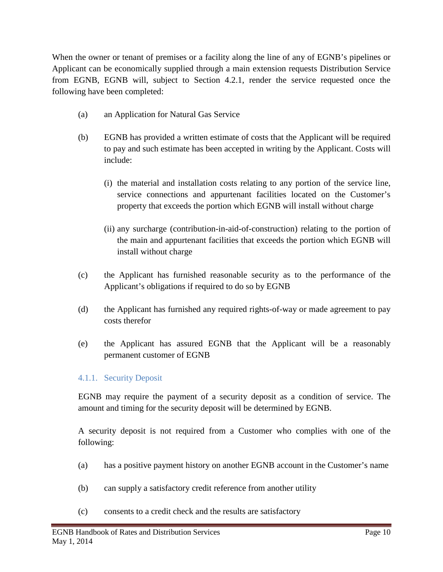When the owner or tenant of premises or a facility along the line of any of EGNB's pipelines or Applicant can be economically supplied through a main extension requests Distribution Service from EGNB, EGNB will, subject to Section 4.2.1, render the service requested once the following have been completed:

- (a) an Application for Natural Gas Service
- (b) EGNB has provided a written estimate of costs that the Applicant will be required to pay and such estimate has been accepted in writing by the Applicant. Costs will include:
	- (i) the material and installation costs relating to any portion of the service line, service connections and appurtenant facilities located on the Customer's property that exceeds the portion which EGNB will install without charge
	- (ii) any surcharge (contribution-in-aid-of-construction) relating to the portion of the main and appurtenant facilities that exceeds the portion which EGNB will install without charge
- (c) the Applicant has furnished reasonable security as to the performance of the Applicant's obligations if required to do so by EGNB
- (d) the Applicant has furnished any required rights-of-way or made agreement to pay costs therefor
- (e) the Applicant has assured EGNB that the Applicant will be a reasonably permanent customer of EGNB

# 4.1.1. Security Deposit

EGNB may require the payment of a security deposit as a condition of service. The amount and timing for the security deposit will be determined by EGNB.

A security deposit is not required from a Customer who complies with one of the following:

- (a) has a positive payment history on another EGNB account in the Customer's name
- (b) can supply a satisfactory credit reference from another utility
- (c) consents to a credit check and the results are satisfactory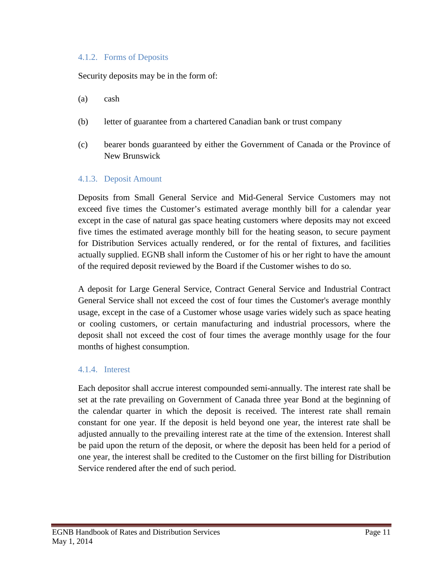### 4.1.2. Forms of Deposits

Security deposits may be in the form of:

- (a) cash
- (b) letter of guarantee from a chartered Canadian bank or trust company
- (c) bearer bonds guaranteed by either the Government of Canada or the Province of New Brunswick

#### 4.1.3. Deposit Amount

Deposits from Small General Service and Mid-General Service Customers may not exceed five times the Customer's estimated average monthly bill for a calendar year except in the case of natural gas space heating customers where deposits may not exceed five times the estimated average monthly bill for the heating season, to secure payment for Distribution Services actually rendered, or for the rental of fixtures, and facilities actually supplied. EGNB shall inform the Customer of his or her right to have the amount of the required deposit reviewed by the Board if the Customer wishes to do so.

A deposit for Large General Service, Contract General Service and Industrial Contract General Service shall not exceed the cost of four times the Customer's average monthly usage, except in the case of a Customer whose usage varies widely such as space heating or cooling customers, or certain manufacturing and industrial processors, where the deposit shall not exceed the cost of four times the average monthly usage for the four months of highest consumption.

### 4.1.4. Interest

Each depositor shall accrue interest compounded semi-annually. The interest rate shall be set at the rate prevailing on Government of Canada three year Bond at the beginning of the calendar quarter in which the deposit is received. The interest rate shall remain constant for one year. If the deposit is held beyond one year, the interest rate shall be adjusted annually to the prevailing interest rate at the time of the extension. Interest shall be paid upon the return of the deposit, or where the deposit has been held for a period of one year, the interest shall be credited to the Customer on the first billing for Distribution Service rendered after the end of such period.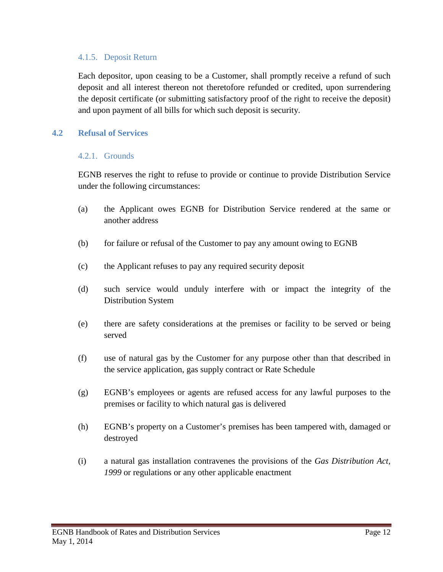### 4.1.5. Deposit Return

Each depositor, upon ceasing to be a Customer, shall promptly receive a refund of such deposit and all interest thereon not theretofore refunded or credited, upon surrendering the deposit certificate (or submitting satisfactory proof of the right to receive the deposit) and upon payment of all bills for which such deposit is security.

### <span id="page-13-0"></span>**4.2 Refusal of Services**

#### 4.2.1. Grounds

EGNB reserves the right to refuse to provide or continue to provide Distribution Service under the following circumstances:

- (a) the Applicant owes EGNB for Distribution Service rendered at the same or another address
- (b) for failure or refusal of the Customer to pay any amount owing to EGNB
- (c) the Applicant refuses to pay any required security deposit
- (d) such service would unduly interfere with or impact the integrity of the Distribution System
- (e) there are safety considerations at the premises or facility to be served or being served
- (f) use of natural gas by the Customer for any purpose other than that described in the service application, gas supply contract or Rate Schedule
- (g) EGNB's employees or agents are refused access for any lawful purposes to the premises or facility to which natural gas is delivered
- (h) EGNB's property on a Customer's premises has been tampered with, damaged or destroyed
- (i) a natural gas installation contravenes the provisions of the *Gas Distribution Act, 1999* or regulations or any other applicable enactment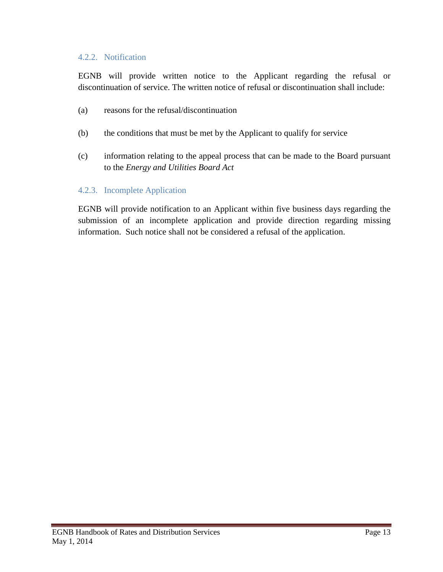### 4.2.2. Notification

EGNB will provide written notice to the Applicant regarding the refusal or discontinuation of service. The written notice of refusal or discontinuation shall include:

- (a) reasons for the refusal/discontinuation
- (b) the conditions that must be met by the Applicant to qualify for service
- (c) information relating to the appeal process that can be made to the Board pursuant to the *Energy and Utilities Board Act*

### 4.2.3. Incomplete Application

EGNB will provide notification to an Applicant within five business days regarding the submission of an incomplete application and provide direction regarding missing information. Such notice shall not be considered a refusal of the application.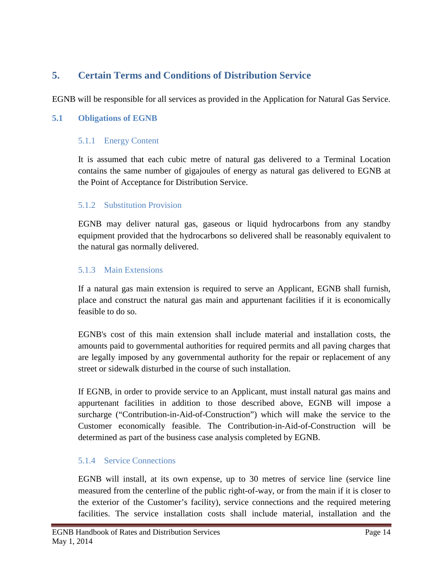# <span id="page-15-0"></span>**5. Certain Terms and Conditions of Distribution Service**

EGNB will be responsible for all services as provided in the Application for Natural Gas Service.

### <span id="page-15-1"></span>**5.1 Obligations of EGNB**

### 5.1.1 Energy Content

It is assumed that each cubic metre of natural gas delivered to a Terminal Location contains the same number of gigajoules of energy as natural gas delivered to EGNB at the Point of Acceptance for Distribution Service.

### 5.1.2 Substitution Provision

EGNB may deliver natural gas, gaseous or liquid hydrocarbons from any standby equipment provided that the hydrocarbons so delivered shall be reasonably equivalent to the natural gas normally delivered.

### 5.1.3 Main Extensions

If a natural gas main extension is required to serve an Applicant, EGNB shall furnish, place and construct the natural gas main and appurtenant facilities if it is economically feasible to do so.

EGNB's cost of this main extension shall include material and installation costs, the amounts paid to governmental authorities for required permits and all paving charges that are legally imposed by any governmental authority for the repair or replacement of any street or sidewalk disturbed in the course of such installation.

If EGNB, in order to provide service to an Applicant, must install natural gas mains and appurtenant facilities in addition to those described above, EGNB will impose a surcharge ("Contribution-in-Aid-of-Construction") which will make the service to the Customer economically feasible. The Contribution-in-Aid-of-Construction will be determined as part of the business case analysis completed by EGNB.

# 5.1.4 Service Connections

EGNB will install, at its own expense, up to 30 metres of service line (service line measured from the centerline of the public right-of-way, or from the main if it is closer to the exterior of the Customer's facility), service connections and the required metering facilities. The service installation costs shall include material, installation and the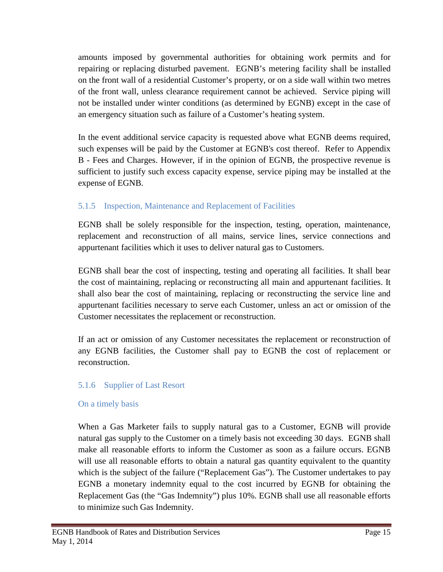amounts imposed by governmental authorities for obtaining work permits and for repairing or replacing disturbed pavement. EGNB's metering facility shall be installed on the front wall of a residential Customer's property, or on a side wall within two metres of the front wall, unless clearance requirement cannot be achieved. Service piping will not be installed under winter conditions (as determined by EGNB) except in the case of an emergency situation such as failure of a Customer's heating system.

In the event additional service capacity is requested above what EGNB deems required, such expenses will be paid by the Customer at EGNB's cost thereof. Refer to Appendix B - Fees and Charges. However, if in the opinion of EGNB, the prospective revenue is sufficient to justify such excess capacity expense, service piping may be installed at the expense of EGNB.

# 5.1.5 Inspection, Maintenance and Replacement of Facilities

EGNB shall be solely responsible for the inspection, testing, operation, maintenance, replacement and reconstruction of all mains, service lines, service connections and appurtenant facilities which it uses to deliver natural gas to Customers.

EGNB shall bear the cost of inspecting, testing and operating all facilities. It shall bear the cost of maintaining, replacing or reconstructing all main and appurtenant facilities. It shall also bear the cost of maintaining, replacing or reconstructing the service line and appurtenant facilities necessary to serve each Customer, unless an act or omission of the Customer necessitates the replacement or reconstruction.

If an act or omission of any Customer necessitates the replacement or reconstruction of any EGNB facilities, the Customer shall pay to EGNB the cost of replacement or reconstruction.

# 5.1.6 Supplier of Last Resort

### On a timely basis

When a Gas Marketer fails to supply natural gas to a Customer, EGNB will provide natural gas supply to the Customer on a timely basis not exceeding 30 days. EGNB shall make all reasonable efforts to inform the Customer as soon as a failure occurs. EGNB will use all reasonable efforts to obtain a natural gas quantity equivalent to the quantity which is the subject of the failure ("Replacement Gas"). The Customer undertakes to pay EGNB a monetary indemnity equal to the cost incurred by EGNB for obtaining the Replacement Gas (the "Gas Indemnity") plus 10%. EGNB shall use all reasonable efforts to minimize such Gas Indemnity.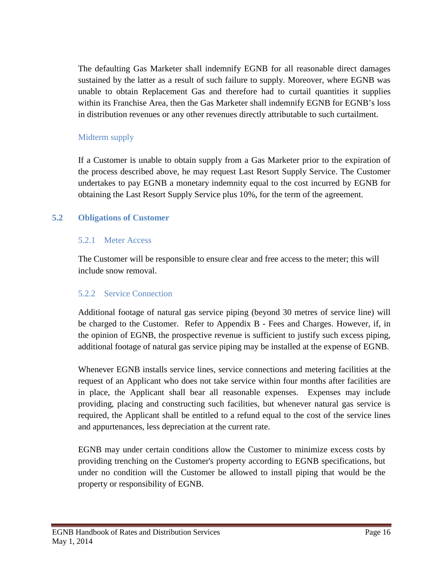The defaulting Gas Marketer shall indemnify EGNB for all reasonable direct damages sustained by the latter as a result of such failure to supply. Moreover, where EGNB was unable to obtain Replacement Gas and therefore had to curtail quantities it supplies within its Franchise Area, then the Gas Marketer shall indemnify EGNB for EGNB's loss in distribution revenues or any other revenues directly attributable to such curtailment.

# Midterm supply

If a Customer is unable to obtain supply from a Gas Marketer prior to the expiration of the process described above, he may request Last Resort Supply Service. The Customer undertakes to pay EGNB a monetary indemnity equal to the cost incurred by EGNB for obtaining the Last Resort Supply Service plus 10%, for the term of the agreement.

### <span id="page-17-0"></span>**5.2 Obligations of Customer**

### 5.2.1 Meter Access

The Customer will be responsible to ensure clear and free access to the meter; this will include snow removal.

# 5.2.2 Service Connection

Additional footage of natural gas service piping (beyond 30 metres of service line) will be charged to the Customer. Refer to Appendix B - Fees and Charges. However, if, in the opinion of EGNB, the prospective revenue is sufficient to justify such excess piping, additional footage of natural gas service piping may be installed at the expense of EGNB.

Whenever EGNB installs service lines, service connections and metering facilities at the request of an Applicant who does not take service within four months after facilities are in place, the Applicant shall bear all reasonable expenses. Expenses may include providing, placing and constructing such facilities, but whenever natural gas service is required, the Applicant shall be entitled to a refund equal to the cost of the service lines and appurtenances, less depreciation at the current rate.

EGNB may under certain conditions allow the Customer to minimize excess costs by providing trenching on the Customer's property according to EGNB specifications, but under no condition will the Customer be allowed to install piping that would be the property or responsibility of EGNB.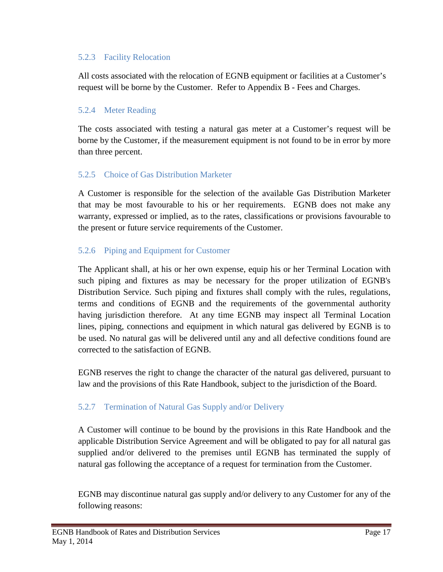### 5.2.3 Facility Relocation

All costs associated with the relocation of EGNB equipment or facilities at a Customer's request will be borne by the Customer. Refer to Appendix B - Fees and Charges.

# 5.2.4 Meter Reading

The costs associated with testing a natural gas meter at a Customer's request will be borne by the Customer, if the measurement equipment is not found to be in error by more than three percent.

# 5.2.5 Choice of Gas Distribution Marketer

A Customer is responsible for the selection of the available Gas Distribution Marketer that may be most favourable to his or her requirements. EGNB does not make any warranty, expressed or implied, as to the rates, classifications or provisions favourable to the present or future service requirements of the Customer.

# 5.2.6 Piping and Equipment for Customer

The Applicant shall, at his or her own expense, equip his or her Terminal Location with such piping and fixtures as may be necessary for the proper utilization of EGNB's Distribution Service. Such piping and fixtures shall comply with the rules, regulations, terms and conditions of EGNB and the requirements of the governmental authority having jurisdiction therefore. At any time EGNB may inspect all Terminal Location lines, piping, connections and equipment in which natural gas delivered by EGNB is to be used. No natural gas will be delivered until any and all defective conditions found are corrected to the satisfaction of EGNB.

EGNB reserves the right to change the character of the natural gas delivered, pursuant to law and the provisions of this Rate Handbook, subject to the jurisdiction of the Board.

# 5.2.7 Termination of Natural Gas Supply and/or Delivery

A Customer will continue to be bound by the provisions in this Rate Handbook and the applicable Distribution Service Agreement and will be obligated to pay for all natural gas supplied and/or delivered to the premises until EGNB has terminated the supply of natural gas following the acceptance of a request for termination from the Customer.

EGNB may discontinue natural gas supply and/or delivery to any Customer for any of the following reasons: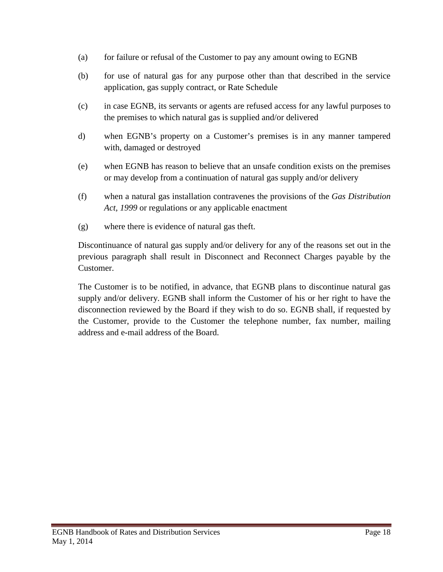- (a) for failure or refusal of the Customer to pay any amount owing to EGNB
- (b) for use of natural gas for any purpose other than that described in the service application, gas supply contract, or Rate Schedule
- (c) in case EGNB, its servants or agents are refused access for any lawful purposes to the premises to which natural gas is supplied and/or delivered
- d) when EGNB's property on a Customer's premises is in any manner tampered with, damaged or destroyed
- (e) when EGNB has reason to believe that an unsafe condition exists on the premises or may develop from a continuation of natural gas supply and/or delivery
- (f) when a natural gas installation contravenes the provisions of the *Gas Distribution Act, 1999* or regulations or any applicable enactment
- (g) where there is evidence of natural gas theft.

Discontinuance of natural gas supply and/or delivery for any of the reasons set out in the previous paragraph shall result in Disconnect and Reconnect Charges payable by the Customer.

The Customer is to be notified, in advance, that EGNB plans to discontinue natural gas supply and/or delivery. EGNB shall inform the Customer of his or her right to have the disconnection reviewed by the Board if they wish to do so. EGNB shall, if requested by the Customer, provide to the Customer the telephone number, fax number, mailing address and e-mail address of the Board.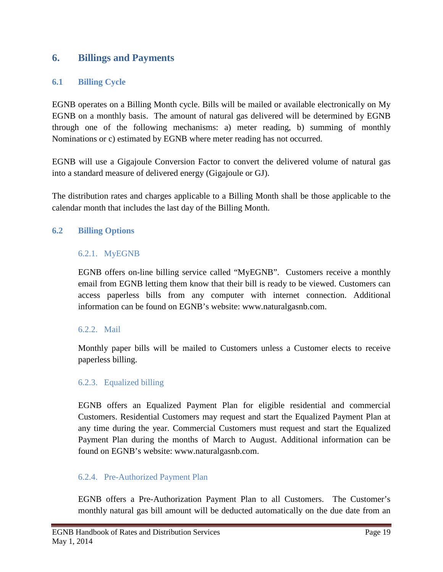# <span id="page-20-0"></span>**6. Billings and Payments**

### <span id="page-20-1"></span>**6.1 Billing Cycle**

EGNB operates on a Billing Month cycle. Bills will be mailed or available electronically on My EGNB on a monthly basis. The amount of natural gas delivered will be determined by EGNB through one of the following mechanisms: a) meter reading, b) summing of monthly Nominations or c) estimated by EGNB where meter reading has not occurred.

EGNB will use a Gigajoule Conversion Factor to convert the delivered volume of natural gas into a standard measure of delivered energy (Gigajoule or GJ).

The distribution rates and charges applicable to a Billing Month shall be those applicable to the calendar month that includes the last day of the Billing Month.

### <span id="page-20-2"></span>**6.2 Billing Options**

### 6.2.1. MyEGNB

EGNB offers on-line billing service called "MyEGNB". Customers receive a monthly email from EGNB letting them know that their bill is ready to be viewed. Customers can access paperless bills from any computer with internet connection. Additional information can be found on EGNB's website: www.naturalgasnb.com.

### 6.2.2. Mail

Monthly paper bills will be mailed to Customers unless a Customer elects to receive paperless billing.

### 6.2.3. Equalized billing

EGNB offers an Equalized Payment Plan for eligible residential and commercial Customers. Residential Customers may request and start the Equalized Payment Plan at any time during the year. Commercial Customers must request and start the Equalized Payment Plan during the months of March to August. Additional information can be found on EGNB's website: www.naturalgasnb.com.

### 6.2.4. Pre-Authorized Payment Plan

EGNB offers a Pre-Authorization Payment Plan to all Customers. The Customer's monthly natural gas bill amount will be deducted automatically on the due date from an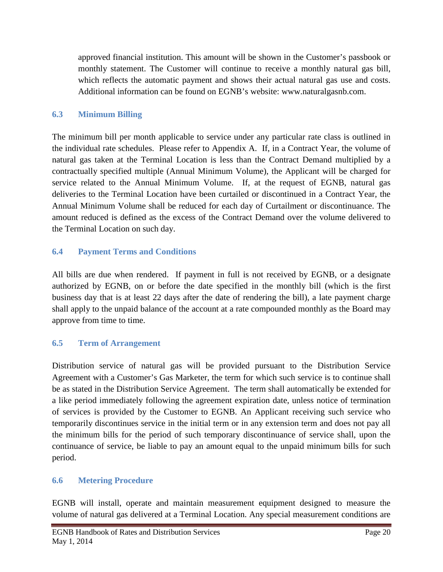approved financial institution. This amount will be shown in the Customer's passbook or monthly statement. The Customer will continue to receive a monthly natural gas bill, which reflects the automatic payment and shows their actual natural gas use and costs. Additional information can be found on EGNB's website: www.naturalgasnb.com.

# <span id="page-21-0"></span>**6.3 Minimum Billing**

The minimum bill per month applicable to service under any particular rate class is outlined in the individual rate schedules. Please refer to Appendix A. If, in a Contract Year, the volume of natural gas taken at the Terminal Location is less than the Contract Demand multiplied by a contractually specified multiple (Annual Minimum Volume), the Applicant will be charged for service related to the Annual Minimum Volume. If, at the request of EGNB, natural gas deliveries to the Terminal Location have been curtailed or discontinued in a Contract Year, the Annual Minimum Volume shall be reduced for each day of Curtailment or discontinuance. The amount reduced is defined as the excess of the Contract Demand over the volume delivered to the Terminal Location on such day.

# <span id="page-21-1"></span>**6.4 Payment Terms and Conditions**

All bills are due when rendered. If payment in full is not received by EGNB, or a designate authorized by EGNB, on or before the date specified in the monthly bill (which is the first business day that is at least 22 days after the date of rendering the bill), a late payment charge shall apply to the unpaid balance of the account at a rate compounded monthly as the Board may approve from time to time.

# <span id="page-21-2"></span>**6.5 Term of Arrangement**

Distribution service of natural gas will be provided pursuant to the Distribution Service Agreement with a Customer's Gas Marketer, the term for which such service is to continue shall be as stated in the Distribution Service Agreement. The term shall automatically be extended for a like period immediately following the agreement expiration date, unless notice of termination of services is provided by the Customer to EGNB. An Applicant receiving such service who temporarily discontinues service in the initial term or in any extension term and does not pay all the minimum bills for the period of such temporary discontinuance of service shall, upon the continuance of service, be liable to pay an amount equal to the unpaid minimum bills for such period.

# <span id="page-21-3"></span>**6.6 Metering Procedure**

EGNB will install, operate and maintain measurement equipment designed to measure the volume of natural gas delivered at a Terminal Location. Any special measurement conditions are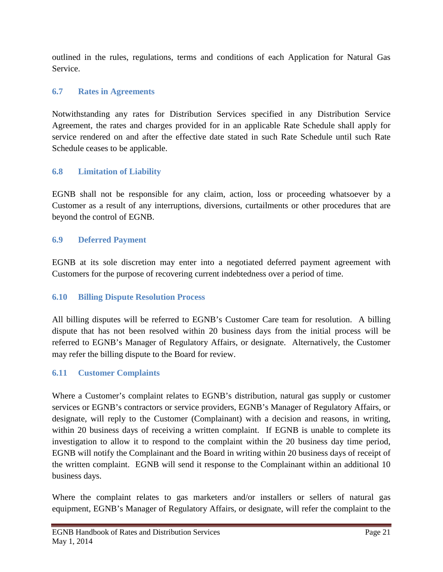outlined in the rules, regulations, terms and conditions of each Application for Natural Gas Service.

# <span id="page-22-0"></span>**6.7 Rates in Agreements**

Notwithstanding any rates for Distribution Services specified in any Distribution Service Agreement, the rates and charges provided for in an applicable Rate Schedule shall apply for service rendered on and after the effective date stated in such Rate Schedule until such Rate Schedule ceases to be applicable.

# <span id="page-22-1"></span>**6.8 Limitation of Liability**

EGNB shall not be responsible for any claim, action, loss or proceeding whatsoever by a Customer as a result of any interruptions, diversions, curtailments or other procedures that are beyond the control of EGNB.

# <span id="page-22-2"></span>**6.9 Deferred Payment**

EGNB at its sole discretion may enter into a negotiated deferred payment agreement with Customers for the purpose of recovering current indebtedness over a period of time.

# <span id="page-22-3"></span>**6.10 Billing Dispute Resolution Process**

All billing disputes will be referred to EGNB's Customer Care team for resolution. A billing dispute that has not been resolved within 20 business days from the initial process will be referred to EGNB's Manager of Regulatory Affairs, or designate. Alternatively, the Customer may refer the billing dispute to the Board for review.

# <span id="page-22-4"></span>**6.11 Customer Complaints**

Where a Customer's complaint relates to EGNB's distribution, natural gas supply or customer services or EGNB's contractors or service providers, EGNB's Manager of Regulatory Affairs, or designate, will reply to the Customer (Complainant) with a decision and reasons, in writing, within 20 business days of receiving a written complaint. If EGNB is unable to complete its investigation to allow it to respond to the complaint within the 20 business day time period, EGNB will notify the Complainant and the Board in writing within 20 business days of receipt of the written complaint. EGNB will send it response to the Complainant within an additional 10 business days.

Where the complaint relates to gas marketers and/or installers or sellers of natural gas equipment, EGNB's Manager of Regulatory Affairs, or designate, will refer the complaint to the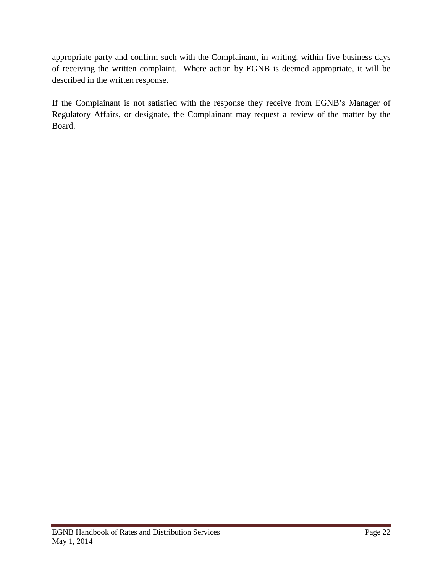appropriate party and confirm such with the Complainant, in writing, within five business days of receiving the written complaint. Where action by EGNB is deemed appropriate, it will be described in the written response.

If the Complainant is not satisfied with the response they receive from EGNB's Manager of Regulatory Affairs, or designate, the Complainant may request a review of the matter by the Board.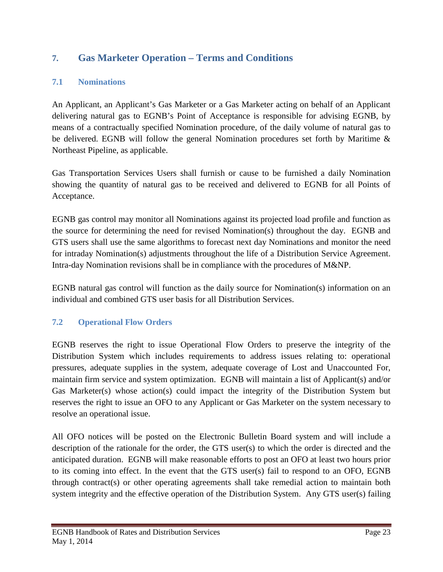# <span id="page-24-0"></span>**7. Gas Marketer Operation – Terms and Conditions**

# <span id="page-24-1"></span>**7.1 Nominations**

An Applicant, an Applicant's Gas Marketer or a Gas Marketer acting on behalf of an Applicant delivering natural gas to EGNB's Point of Acceptance is responsible for advising EGNB, by means of a contractually specified Nomination procedure, of the daily volume of natural gas to be delivered. EGNB will follow the general Nomination procedures set forth by Maritime & Northeast Pipeline, as applicable.

Gas Transportation Services Users shall furnish or cause to be furnished a daily Nomination showing the quantity of natural gas to be received and delivered to EGNB for all Points of Acceptance.

EGNB gas control may monitor all Nominations against its projected load profile and function as the source for determining the need for revised Nomination(s) throughout the day. EGNB and GTS users shall use the same algorithms to forecast next day Nominations and monitor the need for intraday Nomination(s) adjustments throughout the life of a Distribution Service Agreement. Intra-day Nomination revisions shall be in compliance with the procedures of M&NP.

EGNB natural gas control will function as the daily source for Nomination(s) information on an individual and combined GTS user basis for all Distribution Services.

# <span id="page-24-2"></span>**7.2 Operational Flow Orders**

EGNB reserves the right to issue Operational Flow Orders to preserve the integrity of the Distribution System which includes requirements to address issues relating to: operational pressures, adequate supplies in the system, adequate coverage of Lost and Unaccounted For, maintain firm service and system optimization. EGNB will maintain a list of Applicant(s) and/or Gas Marketer(s) whose action(s) could impact the integrity of the Distribution System but reserves the right to issue an OFO to any Applicant or Gas Marketer on the system necessary to resolve an operational issue.

All OFO notices will be posted on the Electronic Bulletin Board system and will include a description of the rationale for the order, the GTS user(s) to which the order is directed and the anticipated duration. EGNB will make reasonable efforts to post an OFO at least two hours prior to its coming into effect. In the event that the GTS user(s) fail to respond to an OFO, EGNB through contract(s) or other operating agreements shall take remedial action to maintain both system integrity and the effective operation of the Distribution System. Any GTS user(s) failing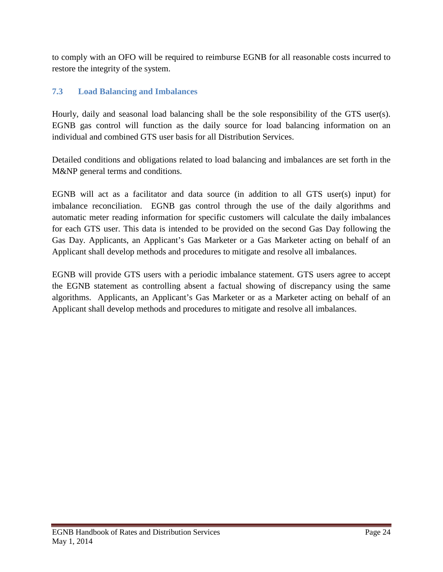to comply with an OFO will be required to reimburse EGNB for all reasonable costs incurred to restore the integrity of the system.

# <span id="page-25-0"></span>**7.3 Load Balancing and Imbalances**

Hourly, daily and seasonal load balancing shall be the sole responsibility of the GTS user(s). EGNB gas control will function as the daily source for load balancing information on an individual and combined GTS user basis for all Distribution Services.

Detailed conditions and obligations related to load balancing and imbalances are set forth in the M&NP general terms and conditions.

EGNB will act as a facilitator and data source (in addition to all GTS user(s) input) for imbalance reconciliation. EGNB gas control through the use of the daily algorithms and automatic meter reading information for specific customers will calculate the daily imbalances for each GTS user. This data is intended to be provided on the second Gas Day following the Gas Day. Applicants, an Applicant's Gas Marketer or a Gas Marketer acting on behalf of an Applicant shall develop methods and procedures to mitigate and resolve all imbalances.

EGNB will provide GTS users with a periodic imbalance statement. GTS users agree to accept the EGNB statement as controlling absent a factual showing of discrepancy using the same algorithms. Applicants, an Applicant's Gas Marketer or as a Marketer acting on behalf of an Applicant shall develop methods and procedures to mitigate and resolve all imbalances.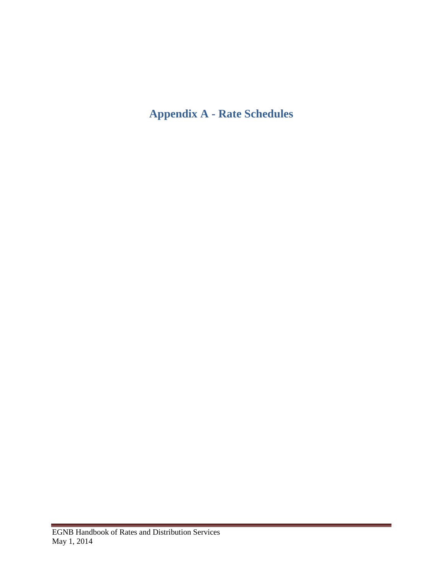# <span id="page-26-0"></span>**Appendix A - Rate Schedules**

 $\sim$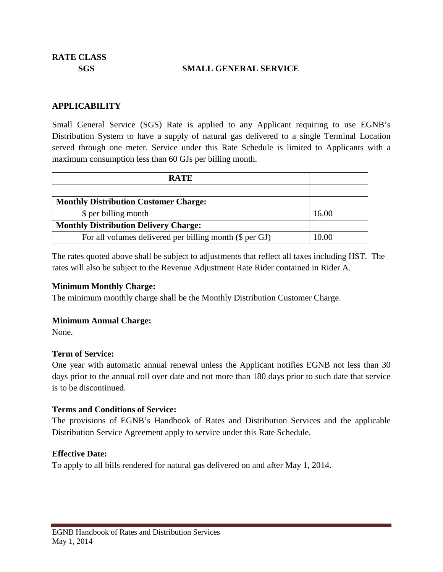**RATE CLASS**

#### **SGS SMALL GENERAL SERVICE**

#### **APPLICABILITY**

Small General Service (SGS) Rate is applied to any Applicant requiring to use EGNB's Distribution System to have a supply of natural gas delivered to a single Terminal Location served through one meter. Service under this Rate Schedule is limited to Applicants with a maximum consumption less than 60 GJs per billing month.

| <b>RATE</b>                                             |       |
|---------------------------------------------------------|-------|
|                                                         |       |
| <b>Monthly Distribution Customer Charge:</b>            |       |
| \$ per billing month                                    | 16.00 |
| <b>Monthly Distribution Delivery Charge:</b>            |       |
| For all volumes delivered per billing month (\$ per GJ) | 10.00 |

The rates quoted above shall be subject to adjustments that reflect all taxes including HST. The rates will also be subject to the Revenue Adjustment Rate Rider contained in Rider A.

#### **Minimum Monthly Charge:**

The minimum monthly charge shall be the Monthly Distribution Customer Charge.

#### **Minimum Annual Charge:**

None.

### **Term of Service:**

One year with automatic annual renewal unless the Applicant notifies EGNB not less than 30 days prior to the annual roll over date and not more than 180 days prior to such date that service is to be discontinued.

### **Terms and Conditions of Service:**

The provisions of EGNB's Handbook of Rates and Distribution Services and the applicable Distribution Service Agreement apply to service under this Rate Schedule.

### **Effective Date:**

To apply to all bills rendered for natural gas delivered on and after May 1, 2014.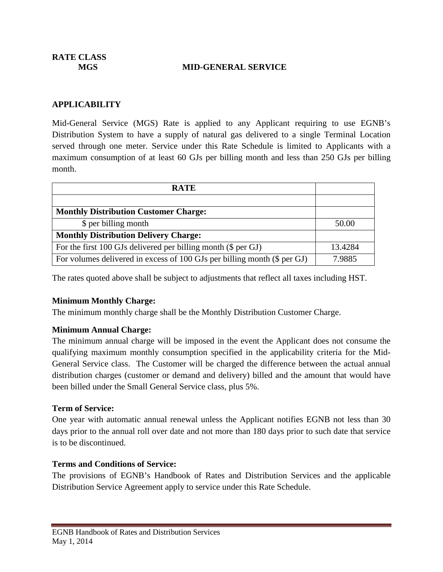**RATE CLASS**

#### **MGS MID-GENERAL SERVICE**

#### **APPLICABILITY**

Mid-General Service (MGS) Rate is applied to any Applicant requiring to use EGNB's Distribution System to have a supply of natural gas delivered to a single Terminal Location served through one meter. Service under this Rate Schedule is limited to Applicants with a maximum consumption of at least 60 GJs per billing month and less than 250 GJs per billing month.

| <b>RATE</b>                                                              |         |
|--------------------------------------------------------------------------|---------|
|                                                                          |         |
| <b>Monthly Distribution Customer Charge:</b>                             |         |
| \$ per billing month                                                     | 50.00   |
| <b>Monthly Distribution Delivery Charge:</b>                             |         |
| For the first 100 GJs delivered per billing month (\$ per GJ)            | 13.4284 |
| For volumes delivered in excess of 100 GJs per billing month (\$ per GJ) | 7.9885  |

The rates quoted above shall be subject to adjustments that reflect all taxes including HST.

### **Minimum Monthly Charge:**

The minimum monthly charge shall be the Monthly Distribution Customer Charge.

### **Minimum Annual Charge:**

The minimum annual charge will be imposed in the event the Applicant does not consume the qualifying maximum monthly consumption specified in the applicability criteria for the Mid-General Service class. The Customer will be charged the difference between the actual annual distribution charges (customer or demand and delivery) billed and the amount that would have been billed under the Small General Service class, plus 5%.

#### **Term of Service:**

One year with automatic annual renewal unless the Applicant notifies EGNB not less than 30 days prior to the annual roll over date and not more than 180 days prior to such date that service is to be discontinued.

### **Terms and Conditions of Service:**

The provisions of EGNB's Handbook of Rates and Distribution Services and the applicable Distribution Service Agreement apply to service under this Rate Schedule.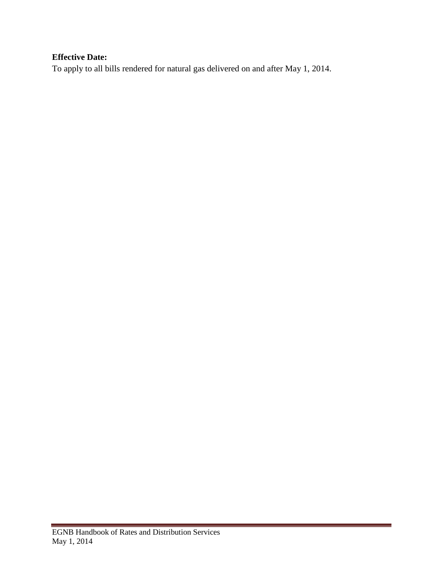# **Effective Date:**

To apply to all bills rendered for natural gas delivered on and after May 1, 2014.

 $\sim$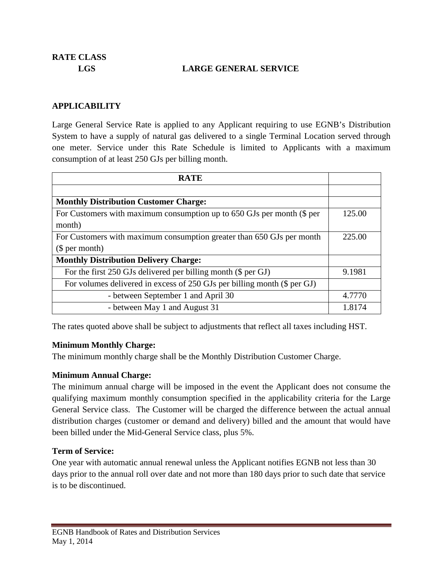**RATE CLASS**

### **LGS LARGE GENERAL SERVICE**

#### **APPLICABILITY**

Large General Service Rate is applied to any Applicant requiring to use EGNB's Distribution System to have a supply of natural gas delivered to a single Terminal Location served through one meter. Service under this Rate Schedule is limited to Applicants with a maximum consumption of at least 250 GJs per billing month.

| <b>RATE</b>                                                              |        |
|--------------------------------------------------------------------------|--------|
|                                                                          |        |
| <b>Monthly Distribution Customer Charge:</b>                             |        |
| For Customers with maximum consumption up to 650 GJs per month (\$ per   | 125.00 |
| month)                                                                   |        |
| For Customers with maximum consumption greater than 650 GJs per month    | 225.00 |
| \$per month)                                                             |        |
| <b>Monthly Distribution Delivery Charge:</b>                             |        |
| For the first 250 GJs delivered per billing month (\$ per GJ)            | 9.1981 |
| For volumes delivered in excess of 250 GJs per billing month (\$ per GJ) |        |
| - between September 1 and April 30                                       | 4.7770 |
| - between May 1 and August 31                                            | 1.8174 |

The rates quoted above shall be subject to adjustments that reflect all taxes including HST.

#### **Minimum Monthly Charge:**

The minimum monthly charge shall be the Monthly Distribution Customer Charge.

### **Minimum Annual Charge:**

The minimum annual charge will be imposed in the event the Applicant does not consume the qualifying maximum monthly consumption specified in the applicability criteria for the Large General Service class. The Customer will be charged the difference between the actual annual distribution charges (customer or demand and delivery) billed and the amount that would have been billed under the Mid-General Service class, plus 5%.

### **Term of Service:**

One year with automatic annual renewal unless the Applicant notifies EGNB not less than 30 days prior to the annual roll over date and not more than 180 days prior to such date that service is to be discontinued.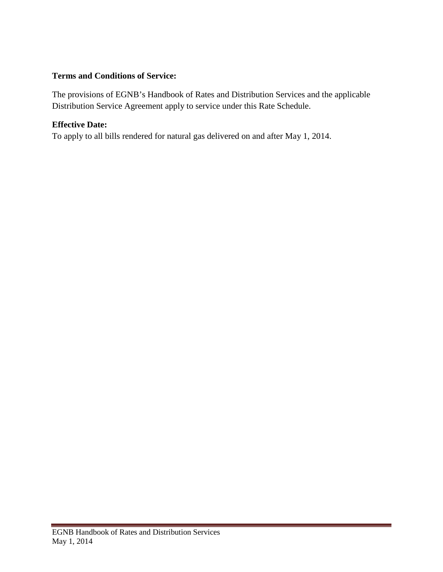# **Terms and Conditions of Service:**

The provisions of EGNB's Handbook of Rates and Distribution Services and the applicable Distribution Service Agreement apply to service under this Rate Schedule.

# **Effective Date:**

To apply to all bills rendered for natural gas delivered on and after May 1, 2014.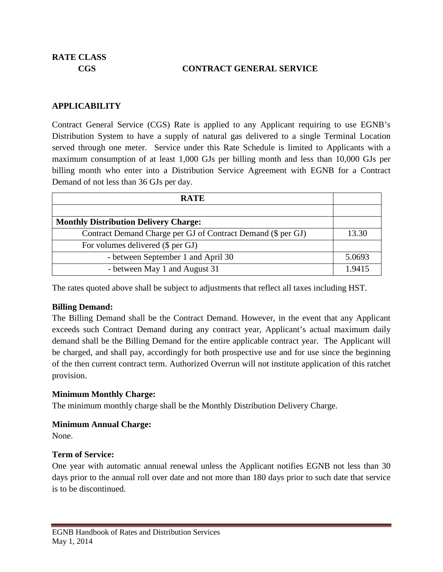### **CGS CONTRACT GENERAL SERVICE**

### **APPLICABILITY**

Contract General Service (CGS) Rate is applied to any Applicant requiring to use EGNB's Distribution System to have a supply of natural gas delivered to a single Terminal Location served through one meter. Service under this Rate Schedule is limited to Applicants with a maximum consumption of at least 1,000 GJs per billing month and less than 10,000 GJs per billing month who enter into a Distribution Service Agreement with EGNB for a Contract Demand of not less than 36 GJs per day.

| <b>RATE</b>                                                  |        |
|--------------------------------------------------------------|--------|
|                                                              |        |
| <b>Monthly Distribution Delivery Charge:</b>                 |        |
| Contract Demand Charge per GJ of Contract Demand (\$ per GJ) | 13.30  |
| For volumes delivered (\$ per GJ)                            |        |
| - between September 1 and April 30                           | 5.0693 |
| - between May 1 and August 31                                | 1.9415 |

The rates quoted above shall be subject to adjustments that reflect all taxes including HST.

### **Billing Demand:**

The Billing Demand shall be the Contract Demand. However, in the event that any Applicant exceeds such Contract Demand during any contract year, Applicant's actual maximum daily demand shall be the Billing Demand for the entire applicable contract year. The Applicant will be charged, and shall pay, accordingly for both prospective use and for use since the beginning of the then current contract term. Authorized Overrun will not institute application of this ratchet provision.

### **Minimum Monthly Charge:**

The minimum monthly charge shall be the Monthly Distribution Delivery Charge.

### **Minimum Annual Charge:**

None.

### **Term of Service:**

One year with automatic annual renewal unless the Applicant notifies EGNB not less than 30 days prior to the annual roll over date and not more than 180 days prior to such date that service is to be discontinued.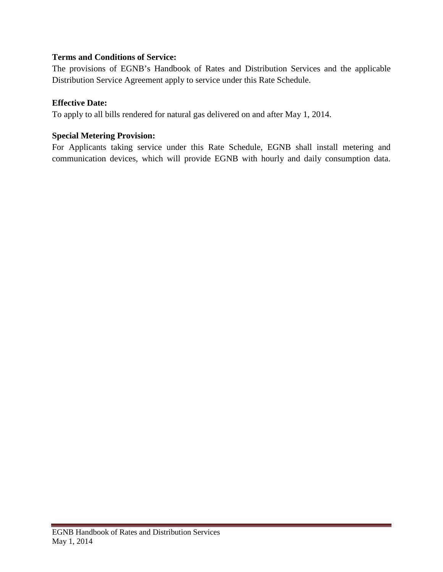# **Terms and Conditions of Service:**

The provisions of EGNB's Handbook of Rates and Distribution Services and the applicable Distribution Service Agreement apply to service under this Rate Schedule.

### **Effective Date:**

To apply to all bills rendered for natural gas delivered on and after May 1, 2014.

# **Special Metering Provision:**

For Applicants taking service under this Rate Schedule, EGNB shall install metering and communication devices, which will provide EGNB with hourly and daily consumption data.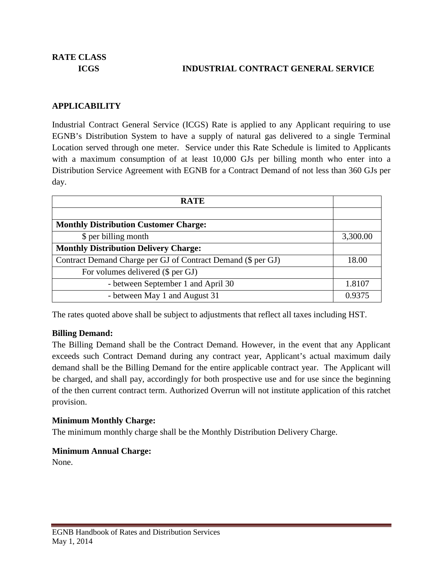# **ICGS INDUSTRIAL CONTRACT GENERAL SERVICE**

# **APPLICABILITY**

Industrial Contract General Service (ICGS) Rate is applied to any Applicant requiring to use EGNB's Distribution System to have a supply of natural gas delivered to a single Terminal Location served through one meter. Service under this Rate Schedule is limited to Applicants with a maximum consumption of at least 10,000 GJs per billing month who enter into a Distribution Service Agreement with EGNB for a Contract Demand of not less than 360 GJs per day.

| <b>RATE</b>                                                  |          |
|--------------------------------------------------------------|----------|
|                                                              |          |
| <b>Monthly Distribution Customer Charge:</b>                 |          |
| \$ per billing month                                         | 3,300.00 |
| <b>Monthly Distribution Delivery Charge:</b>                 |          |
| Contract Demand Charge per GJ of Contract Demand (\$ per GJ) |          |
| For volumes delivered (\$ per GJ)                            |          |
| - between September 1 and April 30                           | 1.8107   |
| - between May 1 and August 31                                | 0.9375   |

The rates quoted above shall be subject to adjustments that reflect all taxes including HST.

### **Billing Demand:**

The Billing Demand shall be the Contract Demand. However, in the event that any Applicant exceeds such Contract Demand during any contract year, Applicant's actual maximum daily demand shall be the Billing Demand for the entire applicable contract year. The Applicant will be charged, and shall pay, accordingly for both prospective use and for use since the beginning of the then current contract term. Authorized Overrun will not institute application of this ratchet provision.

### **Minimum Monthly Charge:**

The minimum monthly charge shall be the Monthly Distribution Delivery Charge.

### **Minimum Annual Charge:**

None.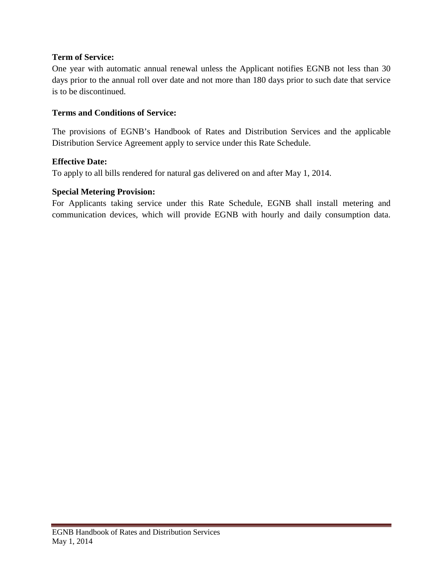# **Term of Service:**

One year with automatic annual renewal unless the Applicant notifies EGNB not less than 30 days prior to the annual roll over date and not more than 180 days prior to such date that service is to be discontinued.

### **Terms and Conditions of Service:**

The provisions of EGNB's Handbook of Rates and Distribution Services and the applicable Distribution Service Agreement apply to service under this Rate Schedule.

### **Effective Date:**

To apply to all bills rendered for natural gas delivered on and after May 1, 2014.

### **Special Metering Provision:**

For Applicants taking service under this Rate Schedule, EGNB shall install metering and communication devices, which will provide EGNB with hourly and daily consumption data.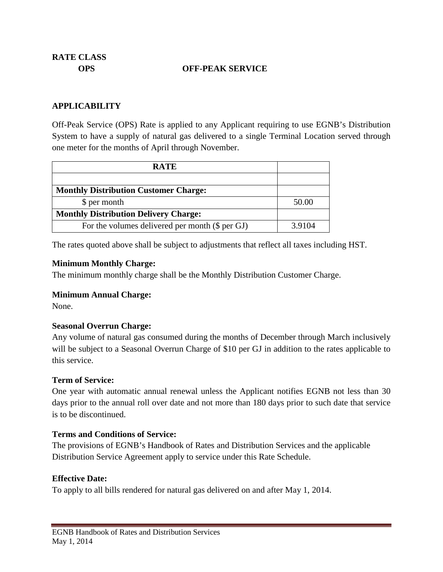### **OPS OFF-PEAK SERVICE**

### **APPLICABILITY**

Off-Peak Service (OPS) Rate is applied to any Applicant requiring to use EGNB's Distribution System to have a supply of natural gas delivered to a single Terminal Location served through one meter for the months of April through November.

| <b>RATE</b>                                     |        |
|-------------------------------------------------|--------|
|                                                 |        |
| <b>Monthly Distribution Customer Charge:</b>    |        |
| \$ per month                                    | 50.00  |
| <b>Monthly Distribution Delivery Charge:</b>    |        |
| For the volumes delivered per month (\$ per GJ) | 3.9104 |

The rates quoted above shall be subject to adjustments that reflect all taxes including HST.

#### **Minimum Monthly Charge:**

The minimum monthly charge shall be the Monthly Distribution Customer Charge.

### **Minimum Annual Charge:**

None.

### **Seasonal Overrun Charge:**

Any volume of natural gas consumed during the months of December through March inclusively will be subject to a Seasonal Overrun Charge of \$10 per GJ in addition to the rates applicable to this service.

### **Term of Service:**

One year with automatic annual renewal unless the Applicant notifies EGNB not less than 30 days prior to the annual roll over date and not more than 180 days prior to such date that service is to be discontinued.

### **Terms and Conditions of Service:**

The provisions of EGNB's Handbook of Rates and Distribution Services and the applicable Distribution Service Agreement apply to service under this Rate Schedule.

### **Effective Date:**

To apply to all bills rendered for natural gas delivered on and after May 1, 2014.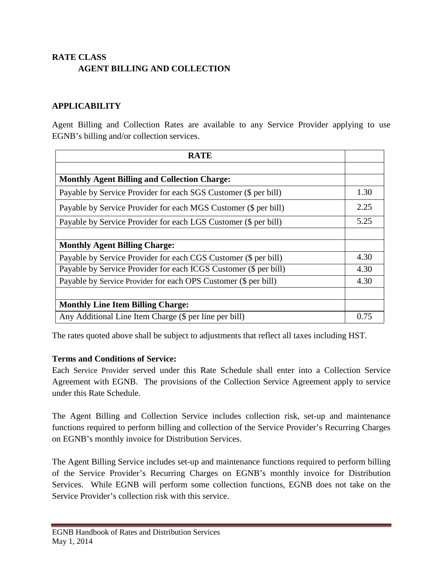# **RATE CLASS AGENT BILLING AND COLLECTION**

# **APPLICABILITY**

Agent Billing and Collection Rates are available to any Service Provider applying to use EGNB's billing and/or collection services.

| <b>RATE</b>                                                      |      |
|------------------------------------------------------------------|------|
|                                                                  |      |
| <b>Monthly Agent Billing and Collection Charge:</b>              |      |
| Payable by Service Provider for each SGS Customer (\$ per bill)  | 1.30 |
| Payable by Service Provider for each MGS Customer (\$ per bill)  | 2.25 |
| Payable by Service Provider for each LGS Customer (\$ per bill)  | 5.25 |
|                                                                  |      |
| <b>Monthly Agent Billing Charge:</b>                             |      |
| Payable by Service Provider for each CGS Customer (\$ per bill)  | 4.30 |
| Payable by Service Provider for each ICGS Customer (\$ per bill) | 4.30 |
| Payable by Service Provider for each OPS Customer (\$ per bill)  | 4.30 |
|                                                                  |      |
| <b>Monthly Line Item Billing Charge:</b>                         |      |
| Any Additional Line Item Charge (\$ per line per bill)           | 0.75 |

The rates quoted above shall be subject to adjustments that reflect all taxes including HST.

### **Terms and Conditions of Service:**

Each Service Provider served under this Rate Schedule shall enter into a Collection Service Agreement with EGNB. The provisions of the Collection Service Agreement apply to service under this Rate Schedule.

The Agent Billing and Collection Service includes collection risk, set-up and maintenance functions required to perform billing and collection of the Service Provider's Recurring Charges on EGNB's monthly invoice for Distribution Services.

The Agent Billing Service includes set-up and maintenance functions required to perform billing of the Service Provider's Recurring Charges on EGNB's monthly invoice for Distribution Services. While EGNB will perform some collection functions, EGNB does not take on the Service Provider's collection risk with this service.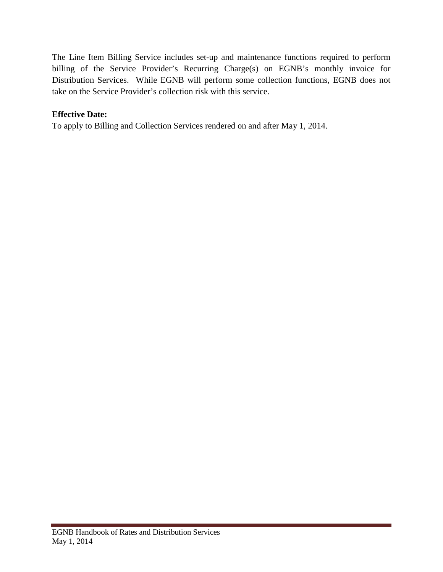The Line Item Billing Service includes set-up and maintenance functions required to perform billing of the Service Provider's Recurring Charge(s) on EGNB's monthly invoice for Distribution Services. While EGNB will perform some collection functions, EGNB does not take on the Service Provider's collection risk with this service.

# **Effective Date:**

To apply to Billing and Collection Services rendered on and after May 1, 2014.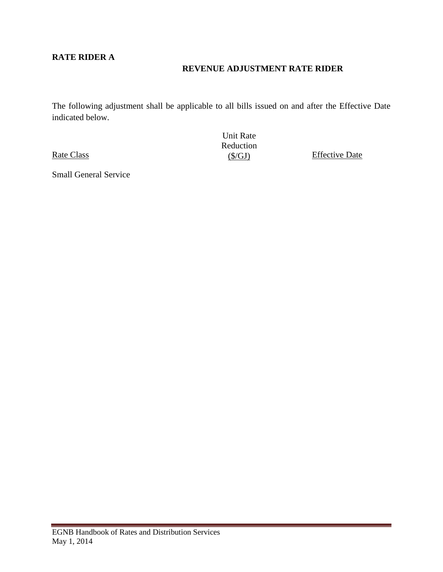# **RATE RIDER A**

# **REVENUE ADJUSTMENT RATE RIDER**

The following adjustment shall be applicable to all bills issued on and after the Effective Date indicated below.

Rate Class

<span id="page-39-0"></span>Small General Service

Unit Rate Reduction<br> $(S/GJ)$ 

**Effective Date**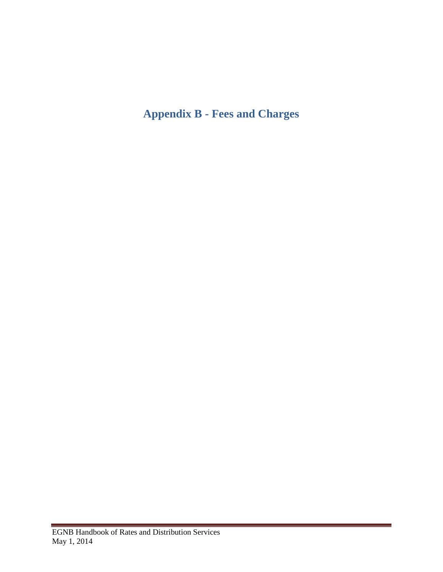# **Appendix B - Fees and Charges**

 $\sim$  10  $\pm$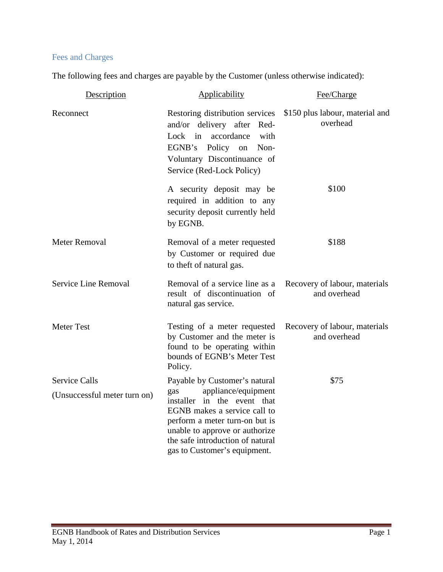# Fees and Charges

The following fees and charges are payable by the Customer (unless otherwise indicated):

| Description                                          | Applicability                                                                                                                                                                                                                                                      | Fee/Charge                                    |
|------------------------------------------------------|--------------------------------------------------------------------------------------------------------------------------------------------------------------------------------------------------------------------------------------------------------------------|-----------------------------------------------|
| Reconnect                                            | Restoring distribution services<br>and/or delivery after Red-<br>accordance<br>Lock<br>in<br>with<br>EGNB's Policy on<br>Non-<br>Voluntary Discontinuance of<br>Service (Red-Lock Policy)                                                                          | \$150 plus labour, material and<br>overhead   |
|                                                      | A security deposit may be<br>required in addition to any<br>security deposit currently held<br>by EGNB.                                                                                                                                                            | \$100                                         |
| <b>Meter Removal</b>                                 | Removal of a meter requested<br>by Customer or required due<br>to theft of natural gas.                                                                                                                                                                            | \$188                                         |
| Service Line Removal                                 | Removal of a service line as a<br>result of discontinuation of<br>natural gas service.                                                                                                                                                                             | Recovery of labour, materials<br>and overhead |
| <b>Meter Test</b>                                    | Testing of a meter requested<br>by Customer and the meter is<br>found to be operating within<br>bounds of EGNB's Meter Test<br>Policy.                                                                                                                             | Recovery of labour, materials<br>and overhead |
| <b>Service Calls</b><br>(Unsuccessful meter turn on) | Payable by Customer's natural<br>appliance/equipment<br>gas<br>installer in the event that<br>EGNB makes a service call to<br>perform a meter turn-on but is<br>unable to approve or authorize<br>the safe introduction of natural<br>gas to Customer's equipment. | \$75                                          |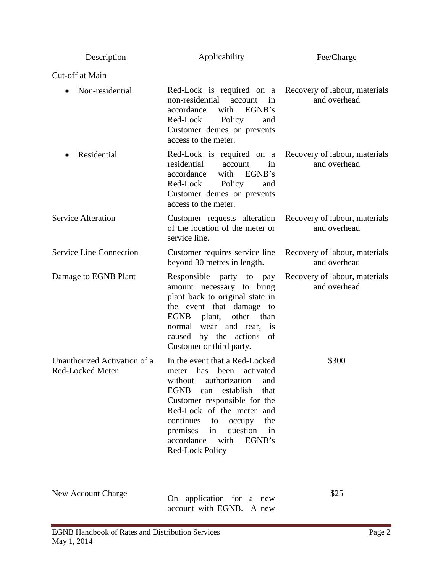| Description                                      | <b>Applicability</b>                                                                                                                                                                                                                                                                                                              | Fee/Charge                                    |
|--------------------------------------------------|-----------------------------------------------------------------------------------------------------------------------------------------------------------------------------------------------------------------------------------------------------------------------------------------------------------------------------------|-----------------------------------------------|
| Cut-off at Main                                  |                                                                                                                                                                                                                                                                                                                                   |                                               |
| Non-residential                                  | Red-Lock is required on a Recovery of labour, materials<br>non-residential<br>account<br>in<br>accordance<br>EGNB's<br>with<br>Red-Lock Policy<br>and<br>Customer denies or prevents<br>access to the meter.                                                                                                                      | and overhead                                  |
| Residential                                      | Red-Lock is required on a Recovery of labour, materials<br>residential<br>account<br>in<br>accordance<br>with EGNB's<br>Red-Lock<br>Policy<br>and<br>Customer denies or prevents<br>access to the meter.                                                                                                                          | and overhead                                  |
| <b>Service Alteration</b>                        | Customer requests alteration<br>of the location of the meter or<br>service line.                                                                                                                                                                                                                                                  | Recovery of labour, materials<br>and overhead |
| <b>Service Line Connection</b>                   | Customer requires service line<br>beyond 30 metres in length.                                                                                                                                                                                                                                                                     | Recovery of labour, materials<br>and overhead |
| Damage to EGNB Plant                             | Responsible party to pay<br>amount necessary to bring<br>plant back to original state in<br>the event that damage to<br>plant, other than<br>EGNB<br>normal wear and tear,<br>is<br>caused by the actions<br>of<br>Customer or third party.                                                                                       | Recovery of labour, materials<br>and overhead |
| Unauthorized Activation of a<br>Red-Locked Meter | In the event that a Red-Locked<br>meter has been activated<br>authorization<br>without<br>and<br><b>EGNB</b><br>establish<br>that<br>can<br>Customer responsible for the<br>Red-Lock of the meter and<br>continues<br>the<br>occupy<br>to<br>premises<br>in question in<br>accordance<br>with<br>EGNB's<br><b>Red-Lock Policy</b> | \$300                                         |
| <b>New Account Charge</b>                        | On application for a new                                                                                                                                                                                                                                                                                                          | \$25                                          |

account with EGNB. A new